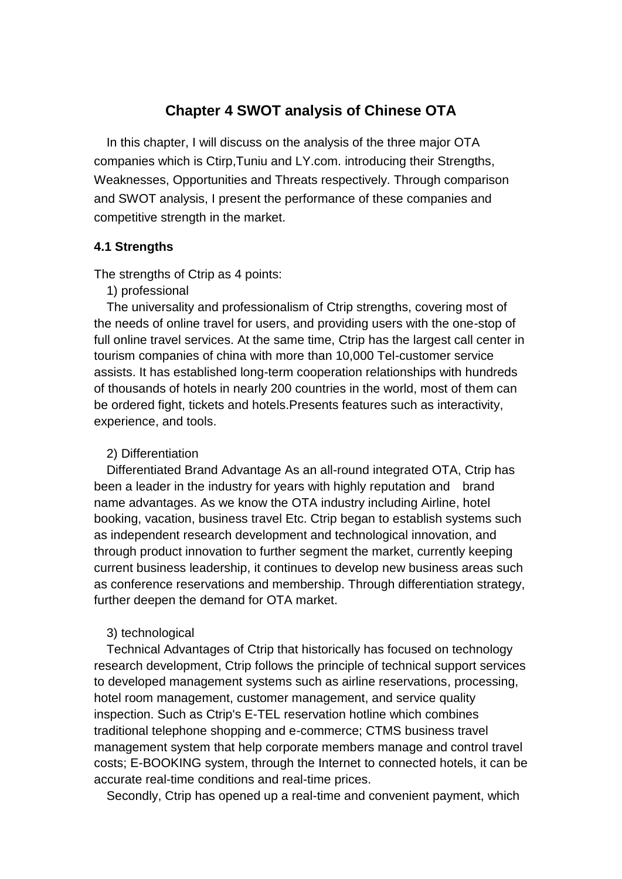# **Chapter 4 SWOT analysis of Chinese OTA**

In this chapter, I will discuss on the analysis of the three major OTA companies which is Ctirp,Tuniu and LY.com. introducing their Strengths, Weaknesses, Opportunities and Threats respectively. Through comparison and SWOT analysis, I present the performance of these companies and competitive strength in the market.

## **4.1 Strengths**

The strengths of Ctrip as 4 points:

## 1) [professional](http://dict.cn/professional)

The universality and professionalism of Ctrip strengths, covering most of the needs of online travel for users, and providing users with the one-stop of full online travel services. At the same time, Ctrip has the largest call center in tourism companies of china with more than 10,000 Tel-customer service assists. It has established long-term cooperation relationships with hundreds of thousands of hotels in nearly 200 countries in the world, most of them can be ordered fight, tickets and hotels.Presents features such as interactivity, experience, and tools.

### 2) Differentiation

Differentiated Brand Advantage As an all-round integrated OTA, Ctrip has been a leader in the industry for years with highly reputation and brand name advantages. As we know the OTA industry including Airline, hotel booking, vacation, business travel Etc. Ctrip began to establish systems such as independent research development and technological innovation, and through product innovation to further segment the market, currently keeping current business leadership, it continues to develop new business areas such as conference reservations and membership. Through differentiation strategy, further deepen the demand for OTA market.

### 3) technological

Technical Advantages of Ctrip that historically has focused on technology research development, Ctrip follows the principle of technical support services to developed management systems such as airline reservations, processing, hotel room management, customer management, and service quality inspection. Such as Ctrip's E-TEL reservation hotline which combines traditional telephone shopping and e-commerce; CTMS business travel management system that help corporate members manage and control travel costs; E-BOOKING system, through the Internet to connected hotels, it can be accurate real-time conditions and real-time prices.

Secondly, Ctrip has opened up a real-time and convenient payment, which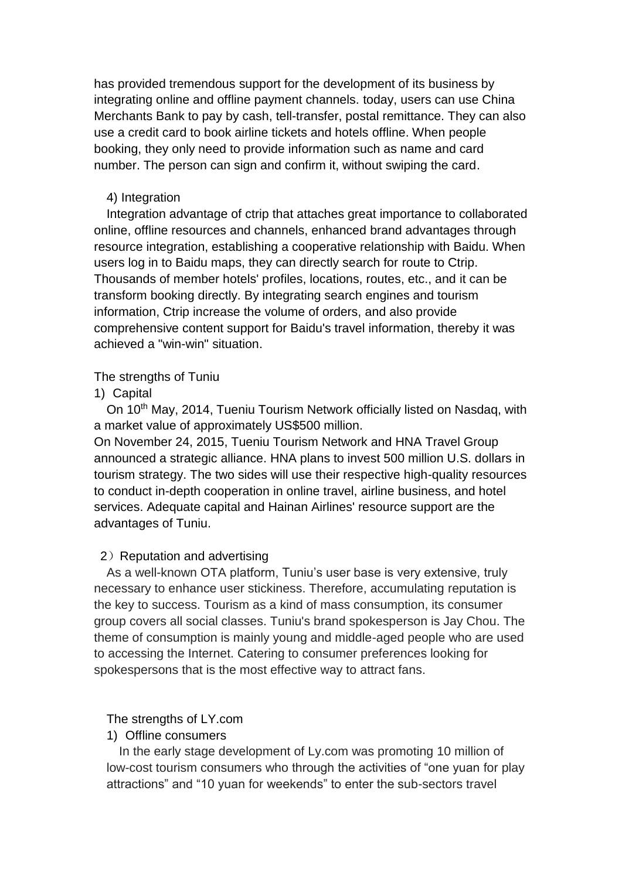has provided tremendous support for the development of its business by integrating online and offline payment channels. today, users can use China Merchants Bank to pay by cash, tell-transfer, postal remittance. They can also use a credit card to book airline tickets and hotels offline. When people booking, they only need to provide information such as name and card number. The person can sign and confirm it, without swiping the card.

### 4) Integration

Integration advantage of ctrip that attaches great importance to collaborated online, offline resources and channels, enhanced brand advantages through resource integration, establishing a cooperative relationship with Baidu. When users log in to Baidu maps, they can directly search for route to Ctrip. Thousands of member hotels' profiles, locations, routes, etc., and it can be transform booking directly. By integrating search engines and tourism information, Ctrip increase the volume of orders, and also provide comprehensive content support for Baidu's travel information, thereby it was achieved a "win-win" situation.

### The strengths of Tuniu

## 1) Capital

On 10<sup>th</sup> May, 2014, Tueniu Tourism Network officially listed on Nasdaq, with a market value of approximately US\$500 million.

On November 24, 2015, Tueniu Tourism Network and HNA Travel Group announced a strategic alliance. HNA plans to invest 500 million U.S. dollars in tourism strategy. The two sides will use their respective high-quality resources to conduct in-depth cooperation in online travel, airline business, and hotel services. Adequate capital and Hainan Airlines' resource support are the advantages of Tuniu.

### 2) Reputation and advertising

As a well-known OTA platform, Tuniu's user base is very extensive, truly necessary to enhance user stickiness. Therefore, accumulating reputation is the key to success. Tourism as a kind of mass consumption, its consumer group covers all social classes. Tuniu's brand spokesperson is Jay Chou. The theme of consumption is mainly young and middle-aged people who are used to accessing the Internet. Catering to consumer preferences looking for spokespersons that is the most effective way to attract fans.

### The strengths of LY.com

### 1) Offline consumers

In the early stage development of Ly.com was promoting 10 million of low-cost tourism consumers who through the activities of "one yuan for play attractions" and "10 yuan for weekends" to enter the sub-sectors travel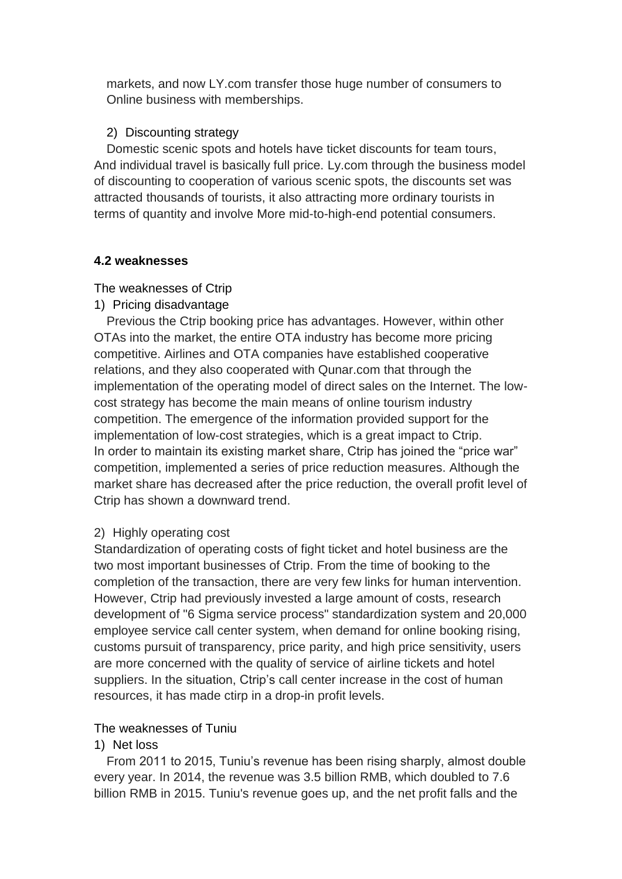markets, and now LY.com transfer those huge number of consumers to Online business with memberships.

## 2) Discounting strategy

Domestic scenic spots and hotels have ticket discounts for team tours, And individual travel is basically full price. Ly.com through the business model of discounting to cooperation of various scenic spots, the discounts set was attracted thousands of tourists, it also attracting more ordinary tourists in terms of quantity and involve More mid-to-high-end potential consumers.

## **4.2 weaknesses**

The weaknesses of Ctrip

1) Pricing disadvantage

Previous the Ctrip booking price has advantages. However, within other OTAs into the market, the entire OTA industry has become more pricing competitive. Airlines and OTA companies have established cooperative relations, and they also cooperated with Qunar.com that through the implementation of the operating model of direct sales on the Internet. The lowcost strategy has become the main means of online tourism industry competition. The emergence of the information provided support for the implementation of low-cost strategies, which is a great impact to Ctrip. In order to maintain its existing market share, Ctrip has joined the "price war" competition, implemented a series of price reduction measures. Although the market share has decreased after the price reduction, the overall profit level of Ctrip has shown a downward trend.

# 2) Highly operating cost

Standardization of operating costs of fight ticket and hotel business are the two most important businesses of Ctrip. From the time of booking to the completion of the transaction, there are very few links for human intervention. However, Ctrip had previously invested a large amount of costs, research development of "6 Sigma service process" standardization system and 20,000 employee service call center system, when demand for online booking rising, customs pursuit of transparency, price parity, and high price sensitivity, users are more concerned with the quality of service of airline tickets and hotel suppliers. In the situation, Ctrip's call center increase in the cost of human resources, it has made ctirp in a drop-in profit levels.

# The weaknesses of Tuniu

## 1) Net loss

From 2011 to 2015, Tuniu's revenue has been rising sharply, almost double every year. In 2014, the revenue was 3.5 billion RMB, which doubled to 7.6 billion RMB in 2015. Tuniu's revenue goes up, and the net profit falls and the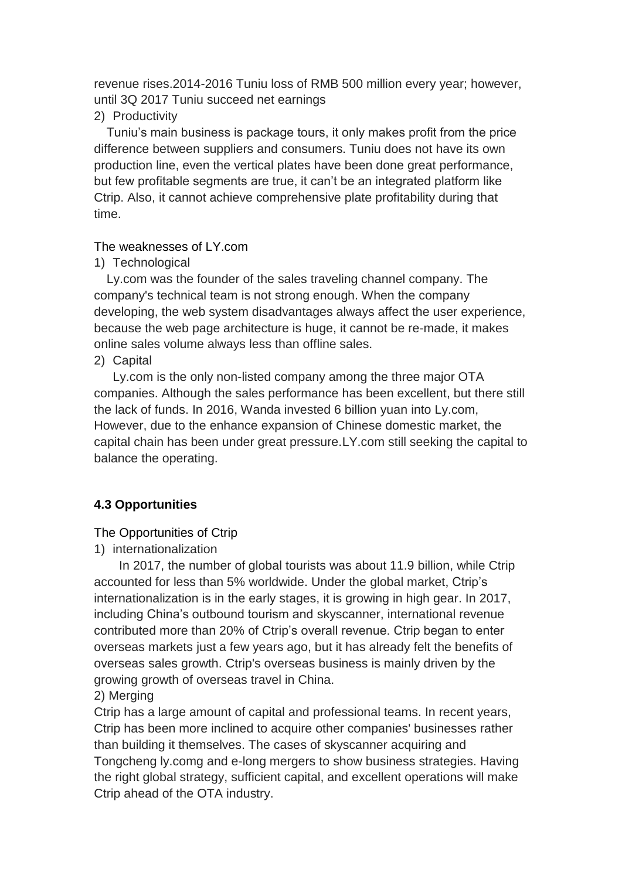revenue rises.2014-2016 Tuniu loss of RMB 500 million every year; however, until 3Q 2017 Tuniu succeed net earnings

## 2) Productivity

Tuniu's main business is package tours, it only makes profit from the price difference between suppliers and consumers. Tuniu does not have its own production line, even the vertical plates have been done great performance, but few profitable segments are true, it can't be an integrated platform like Ctrip. Also, it cannot achieve comprehensive plate profitability during that time.

## The weaknesses of LY.com

1) Technological

Ly.com was the founder of the sales traveling channel company. The company's technical team is not strong enough. When the company developing, the web system disadvantages always affect the user experience, because the web page architecture is huge, it cannot be re-made, it makes online sales volume always less than offline sales.

2) Capital

 Ly.com is the only non-listed company among the three major OTA companies. Although the sales performance has been excellent, but there still the lack of funds. In 2016, Wanda invested 6 billion yuan into Ly.com, However, due to the enhance expansion of Chinese domestic market, the capital chain has been under great pressure.LY.com still seeking the capital to balance the operating.

# **4.3 Opportunities**

# The Opportunities of Ctrip

1) internationalization

In 2017, the number of global tourists was about 11.9 billion, while Ctrip accounted for less than 5% worldwide. Under the global market, Ctrip's internationalization is in the early stages, it is growing in high gear. In 2017, including China's outbound tourism and skyscanner, international revenue contributed more than 20% of Ctrip's overall revenue. Ctrip began to enter overseas markets just a few years ago, but it has already felt the benefits of overseas sales growth. Ctrip's overseas business is mainly driven by the growing growth of overseas travel in China.

# 2) Merging

Ctrip has a large amount of capital and professional teams. In recent years, Ctrip has been more inclined to acquire other companies' businesses rather than building it themselves. The cases of skyscanner acquiring and Tongcheng ly.comg and e-long mergers to show business strategies. Having the right global strategy, sufficient capital, and excellent operations will make Ctrip ahead of the OTA industry.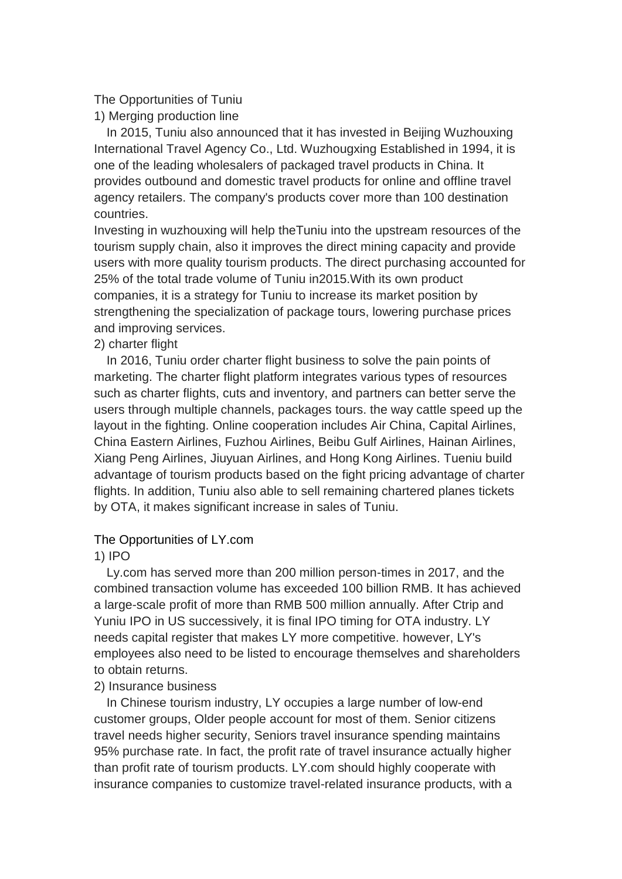## The Opportunities of Tuniu

1) Merging production line

In 2015, Tuniu also announced that it has invested in Beijing Wuzhouxing International Travel Agency Co., Ltd. Wuzhougxing Established in 1994, it is one of the leading wholesalers of packaged travel products in China. It provides outbound and domestic travel products for online and offline travel agency retailers. The company's products cover more than 100 destination countries.

Investing in wuzhouxing will help theTuniu into the upstream resources of the tourism supply chain, also it improves the direct mining capacity and provide users with more quality tourism products. The direct purchasing accounted for 25% of the total trade volume of Tuniu in2015.With its own product companies, it is a strategy for Tuniu to increase its market position by strengthening the specialization of package tours, lowering purchase prices and improving services.

### 2) charter flight

In 2016, Tuniu order charter flight business to solve the pain points of marketing. The charter flight platform integrates various types of resources such as charter flights, cuts and inventory, and partners can better serve the users through multiple channels, packages tours. the way cattle speed up the layout in the fighting. Online cooperation includes Air China, Capital Airlines, China Eastern Airlines, Fuzhou Airlines, Beibu Gulf Airlines, Hainan Airlines, Xiang Peng Airlines, Jiuyuan Airlines, and Hong Kong Airlines. Tueniu build advantage of tourism products based on the fight pricing advantage of charter flights. In addition, Tuniu also able to sell remaining chartered planes tickets by OTA, it makes significant increase in sales of Tuniu.

### The Opportunities of LY.com

## 1) IPO

Ly.com has served more than 200 million person-times in 2017, and the combined transaction volume has exceeded 100 billion RMB. It has achieved a large-scale profit of more than RMB 500 million annually. After Ctrip and Yuniu IPO in US successively, it is final IPO timing for OTA industry. LY needs capital register that makes LY more competitive. however, LY's employees also need to be listed to encourage themselves and shareholders to obtain returns.

## 2) Insurance business

In Chinese tourism industry, LY occupies a large number of low-end customer groups, Older people account for most of them. Senior citizens travel needs higher security, Seniors travel insurance spending maintains 95% purchase rate. In fact, the profit rate of travel insurance actually higher than profit rate of tourism products. LY.com should highly cooperate with insurance companies to customize travel-related insurance products, with a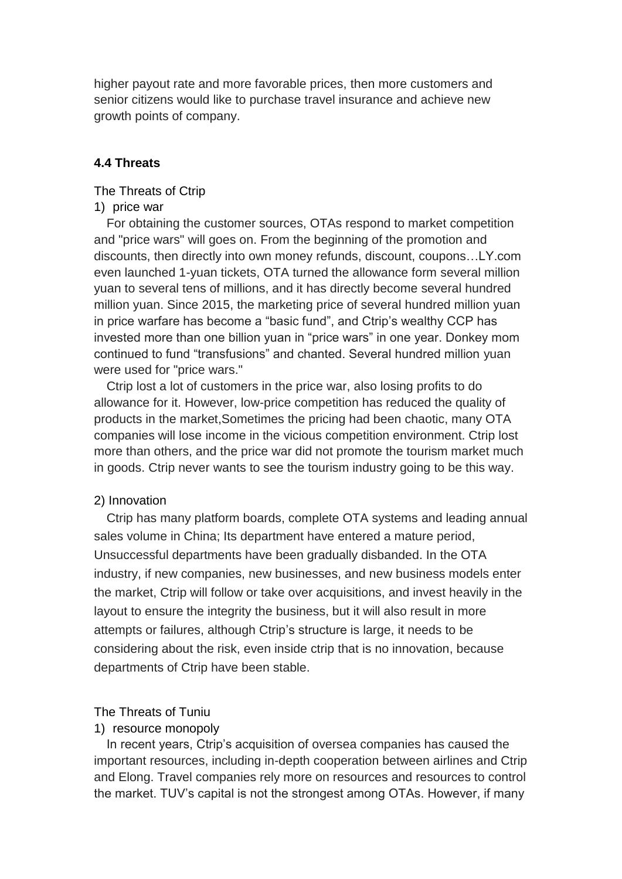higher payout rate and more favorable prices, then more customers and senior citizens would like to purchase travel insurance and achieve new growth points of company.

## **4.4 Threats**

The Threats of Ctrip

### 1) price war

For obtaining the customer sources, OTAs respond to market competition and "price wars" will goes on. From the beginning of the promotion and discounts, then directly into own money refunds, discount, coupons…LY.com even launched 1-yuan tickets, OTA turned the allowance form several million yuan to several tens of millions, and it has directly become several hundred million yuan. Since 2015, the marketing price of several hundred million yuan in price warfare has become a "basic fund", and Ctrip's wealthy CCP has invested more than one billion yuan in "price wars" in one year. Donkey mom continued to fund "transfusions" and chanted. Several hundred million yuan were used for "price wars."

Ctrip lost a lot of customers in the price war, also losing profits to do allowance for it. However, low-price competition has reduced the quality of products in the market,Sometimes the pricing had been chaotic, many OTA companies will lose income in the vicious competition environment. Ctrip lost more than others, and the price war did not promote the tourism market much in goods. Ctrip never wants to see the tourism industry going to be this way.

### 2) Innovation

Ctrip has many platform boards, complete OTA systems and leading annual sales volume in China; Its department have entered a mature period, Unsuccessful departments have been gradually disbanded. In the OTA industry, if new companies, new businesses, and new business models enter the market, Ctrip will follow or take over acquisitions, and invest heavily in the layout to ensure the integrity the business, but it will also result in more attempts or failures, although Ctrip's structure is large, it needs to be considering about the risk, even inside ctrip that is no innovation, because departments of Ctrip have been stable.

### The Threats of Tuniu

### 1) resource monopoly

In recent years, Ctrip's acquisition of oversea companies has caused the important resources, including in-depth cooperation between airlines and Ctrip and Elong. Travel companies rely more on resources and resources to control the market. TUV's capital is not the strongest among OTAs. However, if many